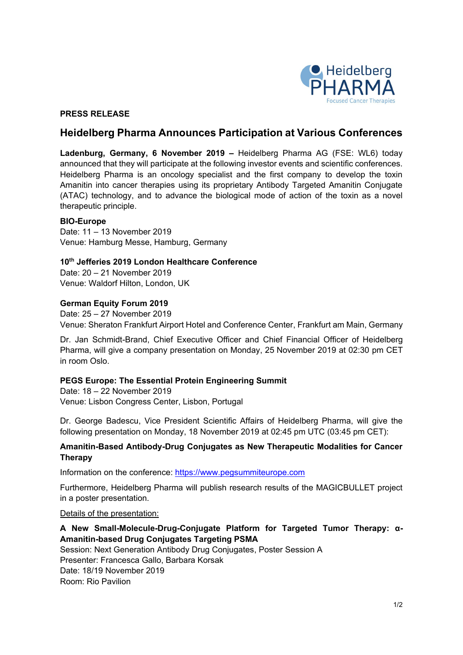

## **PRESS RELEASE**

# **Heidelberg Pharma Announces Participation at Various Conferences**

**Ladenburg, Germany, 6 November 2019 –** Heidelberg Pharma AG (FSE: WL6) today announced that they will participate at the following investor events and scientific conferences. Heidelberg Pharma is an oncology specialist and the first company to develop the toxin Amanitin into cancer therapies using its proprietary Antibody Targeted Amanitin Conjugate (ATAC) technology, and to advance the biological mode of action of the toxin as a novel therapeutic principle.

### **BIO-Europe**

Date: 11 – 13 November 2019 Venue: Hamburg Messe, Hamburg, Germany

### **10th Jefferies 2019 London Healthcare Conference**

Date: 20 – 21 November 2019 Venue: Waldorf Hilton, London, UK

#### **German Equity Forum 2019**

Date: 25 – 27 November 2019 Venue: Sheraton Frankfurt Airport Hotel and Conference Center, Frankfurt am Main, Germany

Dr. Jan Schmidt-Brand, Chief Executive Officer and Chief Financial Officer of Heidelberg Pharma, will give a company presentation on Monday, 25 November 2019 at 02:30 pm CET in room Oslo.

### **PEGS Europe: The Essential Protein Engineering Summit**

Date: 18 – 22 November 2019 Venue: Lisbon Congress Center, Lisbon, Portugal

Dr. George Badescu, Vice President Scientific Affairs of Heidelberg Pharma, will give the following presentation on Monday, 18 November 2019 at 02:45 pm UTC (03:45 pm CET):

## **Amanitin-Based Antibody-Drug Conjugates as New Therapeutic Modalities for Cancer Therapy**

Information on the conference: https://www.pegsummiteurope.com

Furthermore, Heidelberg Pharma will publish research results of the MAGICBULLET project in a poster presentation.

### Details of the presentation:

## **A New Small-Molecule-Drug-Conjugate Platform for Targeted Tumor Therapy: α-Amanitin-based Drug Conjugates Targeting PSMA**

Session: Next Generation Antibody Drug Conjugates, Poster Session A Presenter: Francesca Gallo, Barbara Korsak Date: 18/19 November 2019 Room: Rio Pavilion